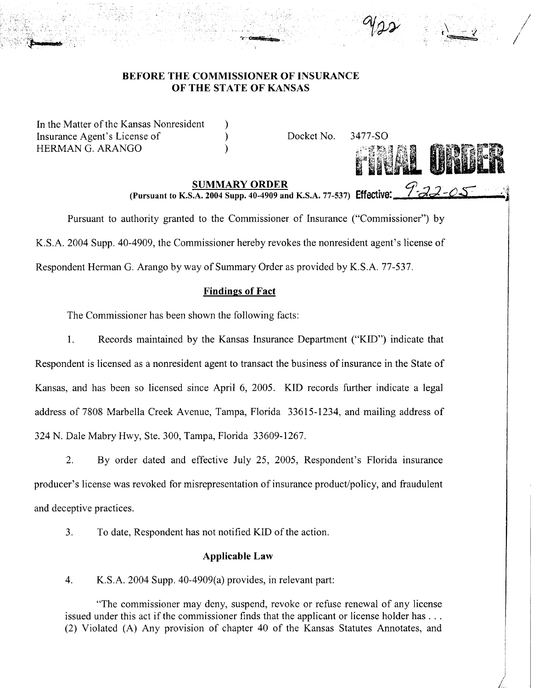## BEFORE THE COMMISSIONER OF INSURANCE OF THE STATE OF KANSAS

In the Matter of the Kansas Nonresident Insurance Agent's License of HERMAN G. ARANGO

Docket No. 3477-S0



/

/

) ) )

SUMMARY ORDER (Pursuant to K.S.A. 2004 Supp. 40-4909 and K.S.A. 77-537) Effective:  $\mathcal{P}$  22-05

Pursuant to authority granted to the Commissioner of Insurance ("Commissioner") by K.S.A. 2004 Supp. 40-4909, the Commissioner hereby revokes the nonresident agent's license of Respondent Herman G. Arango by way of Summary Order as provided by K.S.A. 77-537.

# Findings of Fact

The Commissioner has been shown the following facts:

1. Records maintained by the Kansas Insurance Department ("KID") indicate that

Respondent is licensed as a nonresident agent to transact the business of insurance in the State of Kansas, and has been so licensed since April 6, 2005. KID records further indicate a legal address of 7808 Marbella Creek Avenue, Tampa, Florida 33615-1234, and mailing address of 324 N. Dale Mabry Hwy, Ste. 300, Tampa, Florida 33609-1267.

2. By order dated and effective July 25, 2005, Respondent's Florida insurance producer's license was revoked for misrepresentation of insurance product/policy, and fraudulent and deceptive practices.

3. To date, Respondent has not notified KID of the action.

## Applicable Law

4. K.S.A. 2004 Supp. 40-4909(a) provides, in relevant part:

"The commissioner may deny, suspend, revoke or refuse renewal of any license issued under this act if the commissioner finds that the applicant or license holder has ... (2) Violated (A) Any provision of chapter 40 of the Kansas Statutes Annotates, and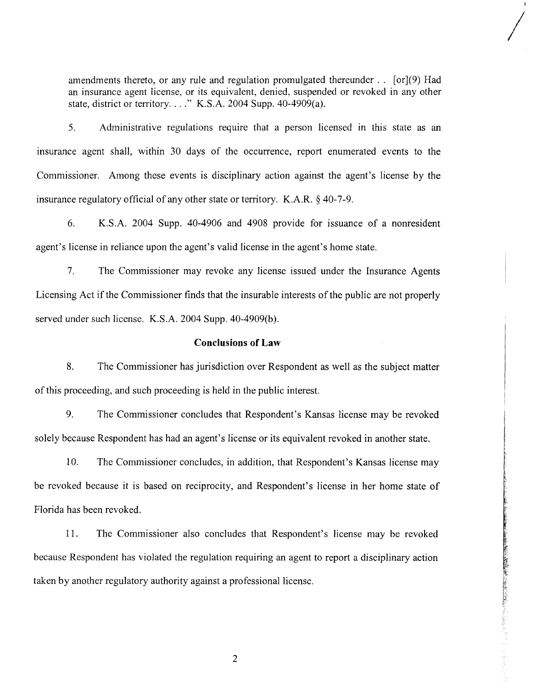amendments thereto, or any rule and regulation promulgated thereunder.. [or](9) Had an insurance agent license, or its equivalent, denied, suspended or revoked in any other state, district or territory...." K.S.A. 2004 Supp. 40-4909(a).

/

· 「大学」と「大学」の「大学」の「大学」の「大学」の「大学」の「大学」の「大学」

5. Administrative regulations require that a person licensed in this state as an insurance agent shall, within 30 days of the occurrence, report enumerated events to the Commissioner. Among these events is disciplinary action against the agent's license by the insurance regulatory official of any other state or territory. K.A.R. § 40-7-9.

6. KS.A. 2004 Supp. 40-4906 and 4908 provide for issuance of a nonresident agent's license in reliance upon the agent's valid license in the agent's home state.

7. The Commissioner may revoke any license issued under the Insurance Agents Licensing Act if the Commissioner finds that the insurable interests of the public are not properly served under such license. K.S.A. 2004 Supp. 40-4909(b).

### **Conclusions of Law**

8. The Commissioner has jurisdiction over Respondent as well as the subject matter of this proceeding, and such proceeding is held in the public interest.

9. The Commissioner concludes that Respondent's Kansas license may be revoked solely because Respondent has had an agent's license or its equivalent revoked in another state.

10. The Commissioner concludes, in addition, that Respondent's Kansas license may be revoked because it is based on reciprocity, and Respondent's license in her home state of Florida has been revoked.

11. The Commissioner also concludes that Respondent's license may be revoked because Respondent has violated the regulation requiring an agent to report a disciplinary action taken by another regulatory authority against a professional license.

2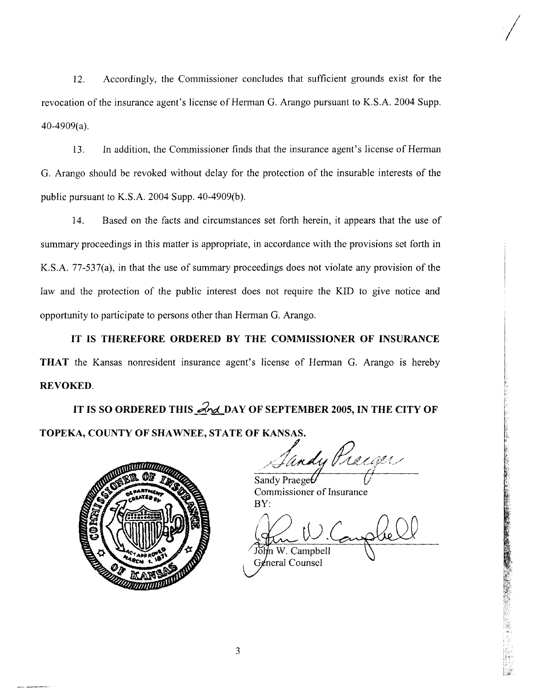12. Accordingly, the Commissioner concludes that sufficient grounds exist for the revocation of the insurance agent's license of Herman G. Arango pursuant to K.S.A. 2004 Supp. 40-4909(a).

13. In addition, the Commissioner finds that the insurance agent's license of Herman G. Arango should be revoked without delay for the protection of the insurable interests of the public pursuant to K.S.A. 2004 Supp. 40-4909(b).

14. Based on the facts and circumstances set forth herein, it appears that the use of summary proceedings in this matter is appropriate, in accordance with the provisions set forth in K.S.A. 77-537(a), in that the use of summary proceedings does not violate any provision of the law and the protection of the public interest does not require the KID to give notice and opportunity to participate to persons other than Herman G. Arango.

IT IS THEREFORE ORDERED BY THE COMMISSIONER OF INSURANCE THAT the Kansas nonresident insurance agent's license of Herman G. Arango is hereby REVOKED.

IT IS SO ORDERED THIS  $\mathcal{A}_{\text{nd}}$  DAY OF SEPTEMBER 2005, IN THE CITY OF TOPEKA, COUNTY OF SHAWNEE, STATE OF KANSAS.



Iandy Pracaer

/

Sandy Praeget Commissioner of Insurance BY:

m W. Campbell General Counsel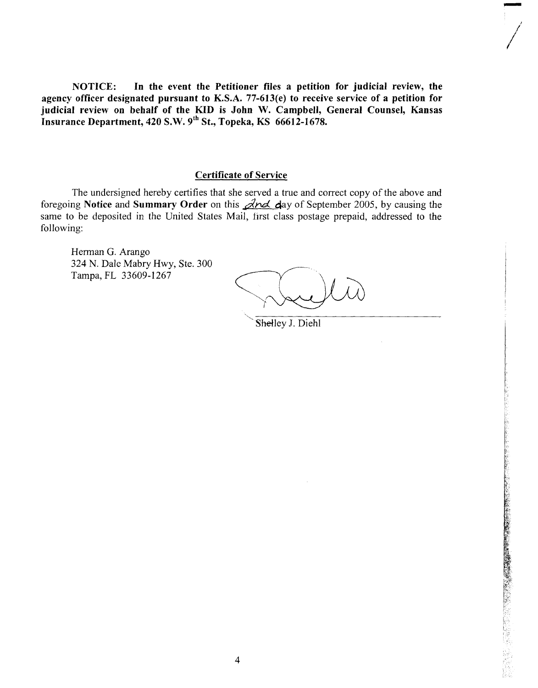NOTICE: In the event the Petitioner files a petition for judicial review, the agency officer designated pursuant to K.S.A. 77-613(e) to receive service of a petition for judicial review on behalf of the KID is John W. Campbell, General Counsel, Kansas Insurance Department, 420 S.W. *9th* St., Topeka, KS 66612-1678.

## Certificate of Service

The undersigned hereby certifies that she served a true and correct copy of the above and foregoing Notice and Summary Order on this  $\angle$  day of September 2005, by causing the same to be deposited in the United States Mail, first class postage prepaid, addressed to the following:

Herman G. Arango 324 N. Dale Mabry Hwy, Ste. 300 Tampa, FL 33609-1267

-,

!

Shelley J. Diehl